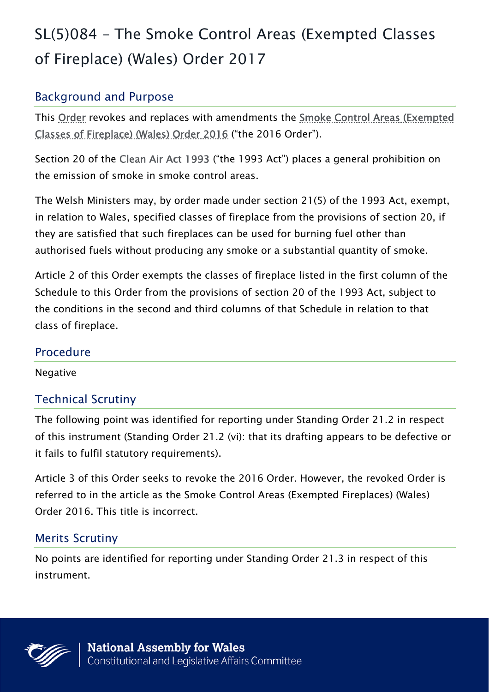# SL(5)084 – The Smoke Control Areas (Exempted Classes of Fireplace) (Wales) Order 2017

# Background and Purpose

This Order revokes and replaces with amendments the Smoke Control Areas (Exempted Classes of Fireplace) (Wales) Order 2016 ("the 2016 Order").

Section 20 of the Clean Air Act 1993 ("the 1993 Act") places a general prohibition on the emission of smoke in smoke control areas.

The Welsh Ministers may, by order made under section 21(5) of the 1993 Act, exempt, in relation to Wales, specified classes of fireplace from the provisions of section 20, if they are satisfied that such fireplaces can be used for burning fuel other than authorised fuels without producing any smoke or a substantial quantity of smoke.

Article 2 of this Order exempts the classes of fireplace listed in the first column of the Schedule to this Order from the provisions of section 20 of the 1993 Act, subject to the conditions in the second and third columns of that Schedule in relation to that class of fireplace.

#### Procedure

Negative

## Technical Scrutiny

The following point was identified for reporting under Standing Order 21.2 in respect of this instrument (Standing Order 21.2 (vi): that its drafting appears to be defective or it fails to fulfil statutory requirements).

Article 3 of this Order seeks to revoke the 2016 Order. However, the revoked Order is referred to in the article as the Smoke Control Areas (Exempted Fireplaces) (Wales) Order 2016. This title is incorrect.

## Merits Scrutiny

No points are identified for reporting under Standing Order 21.3 in respect of this instrument.

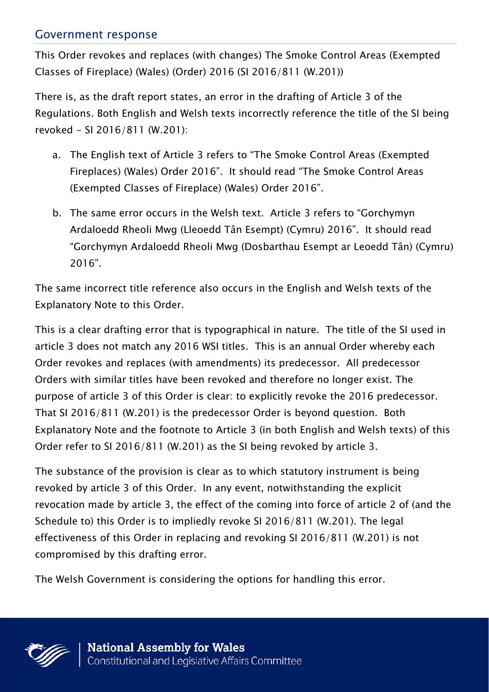#### Government response

This Order revokes and replaces (with changes) The Smoke Control Areas (Exempted Classes of Fireplace) (Wales) (Order) 2016 (SI 2016/811 (W.201))

There is, as the draft report states, an error in the drafting of Article 3 of the Regulations. Both English and Welsh texts incorrectly reference the title of the SI being revoked - SI 2016/811 (W.201):

- a. The English text of Article 3 refers to "The Smoke Control Areas (Exempted Fireplaces) (Wales) Order 2016". It should read "The Smoke Control Areas (Exempted Classes of Fireplace) (Wales) Order 2016".
- b. The same error occurs in the Welsh text. Article 3 refers to "Gorchymyn Ardaloedd Rheoli Mwg (Lleoedd Tân Esempt) (Cymru) 2016". It should read "Gorchymyn Ardaloedd Rheoli Mwg (Dosbarthau Esempt ar Leoedd Tân) (Cymru) 2016".

The same incorrect title reference also occurs in the English and Welsh texts of the Explanatory Note to this Order.

This is a clear drafting error that is typographical in nature. The title of the SI used in article 3 does not match any 2016 WSI titles. This is an annual Order whereby each Order revokes and replaces (with amendments) its predecessor. All predecessor Orders with similar titles have been revoked and therefore no longer exist. The purpose of article 3 of this Order is clear: to explicitly revoke the 2016 predecessor. That SI 2016/811 (W.201) is the predecessor Order is beyond question. Both Explanatory Note and the footnote to Article 3 (in both English and Welsh texts) of this Order refer to SI 2016/811 (W.201) as the SI being revoked by article 3.

The substance of the provision is clear as to which statutory instrument is being revoked by article 3 of this Order. In any event, notwithstanding the explicit revocation made by article 3, the effect of the coming into force of article 2 of (and the Schedule to) this Order is to impliedly revoke SI 2016/811 (W.201). The legal effectiveness of this Order in replacing and revoking SI 2016/811 (W.201) is not compromised by this drafting error.

The Welsh Government is considering the options for handling this error.